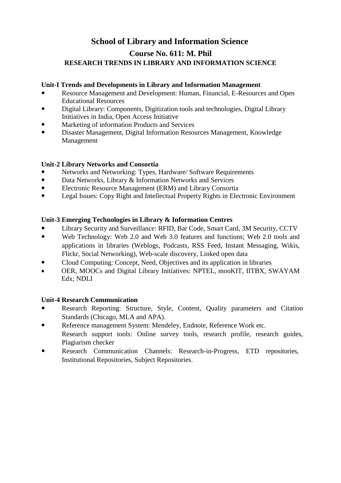### **School of Library and Information Science**

### **Course No. 611: M. Phil RESEARCH TRENDS IN LIBRARY AND INFORMATION SCIENCE**

#### **Unit-I Trends and Developments in Library and Information Management**

- Resource Management and Development: Human, Financial, E-Resources and Open Educational Resources
- Digital Library: Components, Digitization tools and technologies, Digital Library Initiatives in India, Open Access Initiative
- Marketing of information Products and Services
- Disaster Management, Digital Information Resources Management, Knowledge Management

#### **Unit-2 Library Networks and Consortia**

- Networks and Networking: Types, Hardware/ Software Requirements<br>• Data Networks Library & Information Networks and Services
- Data Networks, Library & Information Networks and Services
- Electronic Resource Management (ERM) and Library Consortia
- Legal Issues: Copy Right and Intellectual Property Rights in Electronic Environment

#### **Unit-3 Emerging Technologies in Library & Information Centres**

- Library Security and Surveillance: RFID, Bar Code, Smart Card, 3M Security, CCTV
- Web Technology: Web 2.0 and Web 3.0 features and functions; Web 2.0 tools and applications in libraries (Weblogs, Podcasts, RSS Feed, Instant Messaging, Wikis, Flickr, Social Networking), Web-scale discovery, Linked open data
- Cloud Computing: Concept, Need, Objectives and its application in libraries
- OER, MOOCs and Digital Library Initiatives: NPTEL, mooKIT, IITBX, SWAYAM Edx; NDLI

#### **Unit-4 Research Communication**

- Research Reporting: Structure, Style, Content, Quality parameters and Citation Standards (Chicago, MLA and APA).
- Reference management System: Mendeley, Endnote, Reference Work etc. Research support tools: Online survey tools, research profile, research guides, Plagiarism checker
- Research Communication Channels: Research-in-Progress, ETD repositories, Institutional Repositories, Subject Repositories.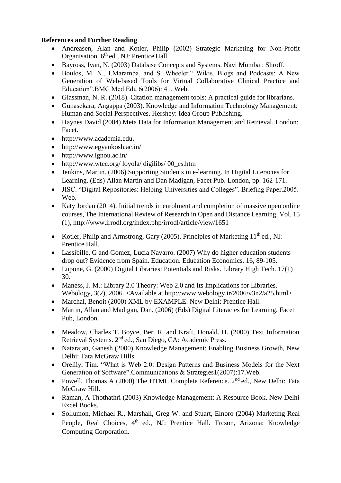### **References and Further Reading**

- Andreasen, Alan and Kotler, Philip (2002) Strategic Marketing for Non-Profit Organisation. 6<sup>th</sup> ed., NJ: Prentice Hall.
- Bayross, Ivan, N. (2003) Database Concepts and Systems. Navi Mumbai: Shroff.
- Boulos, M. N., I.Maramba, and S. Wheeler." Wikis, Blogs and Podcasts: A New Generation of Web-based Tools for Virtual Collaborative Clinical Practice and Education".BMC Med Edu 6(2006): 41. Web.
- Glassman, N. R. (2018). Citation management tools: A practical guide for librarians.
- Gunasekara, Angappa (2003). Knowledge and Information Technology Management: Human and Social Perspectives. Hershey: Idea Group Publishing.
- Haynes David (2004) Meta Data for Information Management and Retrieval. London: Facet.
- [http://www.academia.edu.](http://www.academia.edu/)
- <http://www.egyankosh.ac.in/>
- <http://www.ignou.ac.in/>
- <http://www.wtec.org/> loyola/ digilibs/ 00 es.htm
- Jenkins, Martin. (2006) Supporting Students in e-learning. In Digital Literacies for Learning. (Eds) Allan Martin and Dan Madigan, Facet Pub. London, pp. 162-171.
- JISC. "Digital Repositories: Helping Universities and Colleges". Briefing Paper.2005. Web.
- Katy Jordan (2014), Initial trends in enrolment and completion of massive open online courses, The International Review of Research in Open and Distance Learning, Vol. 15 (1), <http://www.irrodl.org/index.php/irrodl/article/view/1651>
- Kotler, Philip and Armstrong, Gary (2005). Principles of Marketing  $11<sup>th</sup>$  ed., NJ: Prentice Hall.
- Lassibille, G and Gomez, Lucia Navarro. (2007) Why do higher education students drop out? Evidence from Spain. Education. Education Economics. 16, 89-105.
- Lupone, G. (2000) Digital Libraries: Potentials and Risks. Library High Tech. 17(1) 30.
- Maness, J. M.: Library 2.0 Theory: Web 2.0 and Its Implications for Libraries. Webology, 3(2), 2006. <Available at [http://www.webology.ir/2006/v3n2/a25.html>](http://www.webology.ir/2006/v3n2/a25.html)
- Marchal, Benoit (2000) XML by EXAMPLE. New Delhi: Prentice Hall.
- Martin, Allan and Madigan, Dan. (2006) (Eds) Digital Literacies for Learning. Facet Pub, London.
- Meadow, Charles T. Boyce, Bert R. and Kraft, Donald. H. (2000) Text Information Retrieval Systems. 2nd ed., San Diego, CA: Academic Press.
- Natarajan, Ganesh (2000) Knowledge Management: Enabling Business Growth, New Delhi: Tata McGraw Hills.
- Oreilly, Tim. "What is Web 2.0: Design Patterns and Business Models for the Next Generation of Software".Communications & Strategies1(2007):17.Web.
- Powell, Thomas A (2000) The HTML Complete Reference.  $2<sup>nd</sup>$  ed., New Delhi: Tata McGraw Hill.
- Raman, A Thothathri (2003) Knowledge Management: A Resource Book. New Delhi Excel Books.
- Sollumon, Michael R., Marshall, Greg W. and Stuart, Elnoro (2004) Marketing Real People, Real Choices, 4<sup>th</sup> ed., NJ: Prentice Hall. Trcson, Arizona: Knowledge Computing Corporation.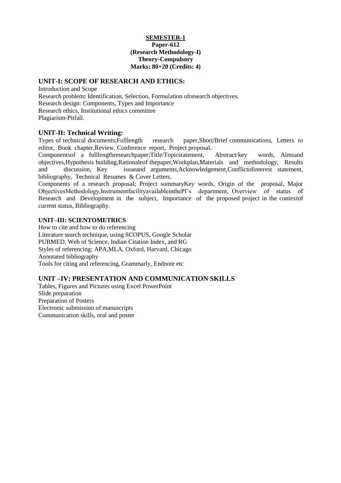#### **SEMESTER-1 Paper-612 (Research Methodology-I) Theory-Compulsory Marks: 80+20 (Credits: 4)**

#### **UNIT-I: SCOPE OF RESEARCH AND ETHICS:**

Introduction and Scope Research problem**:** Identification, Selection, Formulation ofresearch objectives. Research design: Components, Types and Importance Research ethics, Institutional ethics committee Plagiarism-Pitfall.

**UNIT-II: Technical Writing:** research paper,Short/Brief communications, Letters to editor, Book chapter,Review, Conference report, Project proposal.

Componentsof a fulllengthresearchpaper;Title/Topicstatement, Abstract/key words, Aimsand objectives,Hypothesis building,Rationaleof thepaper,Workplan,Materials and methodology, Results and discussion, Key issueand arguments,Acknowledgement,Conflictofinterest statement, bibliography, Technical Resumes & Cover Letters.

Components of a research proposal; Project summaryKey words, Origin of the proposal, Major ObjectivesMethodology,InstrumentfacilityavailableinthePI's department, Overview of status of Research and Development in the subject, Importance of the proposed project in the contextof current status, Bibliography.

#### **UNIT–III: SCIENTOMETRICS**

How to cite and how to do referencing Literature search technique, using SCOPUS, Google Scholar PUBMED, Web of Science, Indian Citation Index, and RG Styles of referencing; APA,MLA, Oxford, Harvard, Chicago Annotated bibliography Tools for citing and referencing, Grammarly, Endnote etc

#### **UNIT –IV: PRESENTATION AND COMMUNICATION SKILLS**

Tables, Figures and Pictures using Excel PowerPoint Slide preparation Preparation of Posters Electronic submission of manuscripts Communication skills, oral and poster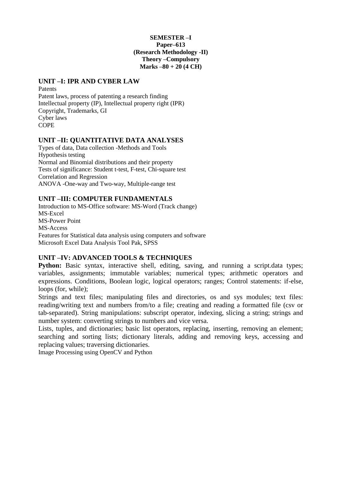#### **SEMESTER –I Paper–613 (Research Methodology -II) Theory –Compulsory Marks –80 + 20 (4 CH)**

#### **UNIT –I: IPR AND CYBER LAW**

Patents Patent laws, process of patenting a research finding Intellectual property (IP), Intellectual property right (IPR) Copyright, Trademarks, GI Cyber laws **COPE** 

#### **UNIT –II: QUANTITATIVE DATA ANALYSES**

Types of data, Data collection -Methods and Tools Hypothesis testing Normal and Binomial distributions and their property Tests of significance: Student t-test, F-test, Chi-square test Correlation and Regression ANOVA -One-way and Two-way, Multiple-range test

#### **UNIT –III: COMPUTER FUNDAMENTALS**

Introduction to MS-Office software: MS-Word (Track change) MS-Excel MS-Power Point MS-Access Features for Statistical data analysis using computers and software Microsoft Excel Data Analysis Tool Pak, SPSS

#### **UNIT –IV: ADVANCED TOOLS & TECHNIQUES**

**Python:** Basic syntax, interactive shell, editing, saving, and running a script.data types; variables, assignments; immutable variables; numerical types; arithmetic operators and expressions. Conditions, Boolean logic, logical operators; ranges; Control statements: if-else, loops (for, while);

Strings and text files; manipulating files and directories, os and sys modules; text files: reading/writing text and numbers from/to a file; creating and reading a formatted file (csv or tab-separated). String manipulations: subscript operator, indexing, slicing a string; strings and number system: converting strings to numbers and vice versa.

Lists, tuples, and dictionaries; basic list operators, replacing, inserting, removing an element; searching and sorting lists; dictionary literals, adding and removing keys, accessing and replacing values; traversing dictionaries.

Image Processing using OpenCV and Python